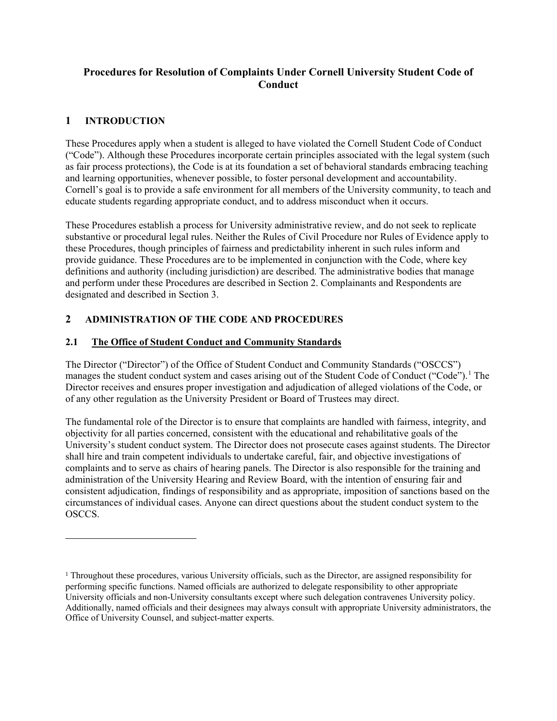## **Procedures for Resolution of Complaints Under Cornell University Student Code of Conduct**

## **1 INTRODUCTION**

 $\overline{a}$ 

These Procedures apply when a student is alleged to have violated the Cornell Student Code of Conduct ("Code"). Although these Procedures incorporate certain principles associated with the legal system (such as fair process protections), the Code is at its foundation a set of behavioral standards embracing teaching and learning opportunities, whenever possible, to foster personal development and accountability. Cornell's goal is to provide a safe environment for all members of the University community, to teach and educate students regarding appropriate conduct, and to address misconduct when it occurs.

These Procedures establish a process for University administrative review, and do not seek to replicate substantive or procedural legal rules. Neither the Rules of Civil Procedure nor Rules of Evidence apply to these Procedures, though principles of fairness and predictability inherent in such rules inform and provide guidance. These Procedures are to be implemented in conjunction with the Code, where key definitions and authority (including jurisdiction) are described. The administrative bodies that manage and perform under these Procedures are described in Section 2. Complainants and Respondents are designated and described in Section 3.

## **2 ADMINISTRATION OF THE CODE AND PROCEDURES**

### **2.1 The Office of Student Conduct and Community Standards**

The Director ("Director") of the Office of Student Conduct and Community Standards ("OSCCS") manages the student conduct system and cases arising out of the Student Code of Conduct ("Code").<sup>[1](#page-0-0)</sup> The Director receives and ensures proper investigation and adjudication of alleged violations of the Code, or of any other regulation as the University President or Board of Trustees may direct.

The fundamental role of the Director is to ensure that complaints are handled with fairness, integrity, and objectivity for all parties concerned, consistent with the educational and rehabilitative goals of the University's student conduct system. The Director does not prosecute cases against students. The Director shall hire and train competent individuals to undertake careful, fair, and objective investigations of complaints and to serve as chairs of hearing panels. The Director is also responsible for the training and administration of the University Hearing and Review Board, with the intention of ensuring fair and consistent adjudication, findings of responsibility and as appropriate, imposition of sanctions based on the circumstances of individual cases. Anyone can direct questions about the student conduct system to the OSCCS.

<span id="page-0-0"></span><sup>1</sup> Throughout these procedures, various University officials, such as the Director, are assigned responsibility for performing specific functions. Named officials are authorized to delegate responsibility to other appropriate University officials and non-University consultants except where such delegation contravenes University policy. Additionally, named officials and their designees may always consult with appropriate University administrators, the Office of University Counsel, and subject-matter experts.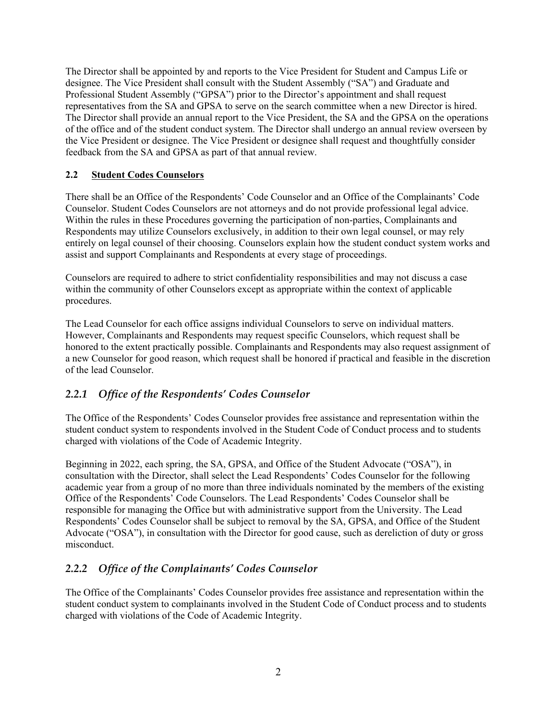The Director shall be appointed by and reports to the Vice President for Student and Campus Life or designee. The Vice President shall consult with the Student Assembly ("SA") and Graduate and Professional Student Assembly ("GPSA") prior to the Director's appointment and shall request representatives from the SA and GPSA to serve on the search committee when a new Director is hired. The Director shall provide an annual report to the Vice President, the SA and the GPSA on the operations of the office and of the student conduct system. The Director shall undergo an annual review overseen by the Vice President or designee. The Vice President or designee shall request and thoughtfully consider feedback from the SA and GPSA as part of that annual review.

### **2.2 Student Codes Counselors**

There shall be an Office of the Respondents' Code Counselor and an Office of the Complainants' Code Counselor. Student Codes Counselors are not attorneys and do not provide professional legal advice. Within the rules in these Procedures governing the participation of non-parties, Complainants and Respondents may utilize Counselors exclusively, in addition to their own legal counsel, or may rely entirely on legal counsel of their choosing. Counselors explain how the student conduct system works and assist and support Complainants and Respondents at every stage of proceedings.

Counselors are required to adhere to strict confidentiality responsibilities and may not discuss a case within the community of other Counselors except as appropriate within the context of applicable procedures.

The Lead Counselor for each office assigns individual Counselors to serve on individual matters. However, Complainants and Respondents may request specific Counselors, which request shall be honored to the extent practically possible. Complainants and Respondents may also request assignment of a new Counselor for good reason, which request shall be honored if practical and feasible in the discretion of the lead Counselor.

## *2.2.1 Office of the Respondents' Codes Counselor*

The Office of the Respondents' Codes Counselor provides free assistance and representation within the student conduct system to respondents involved in the Student Code of Conduct process and to students charged with violations of the Code of Academic Integrity.

Beginning in 2022, each spring, the SA, GPSA, and Office of the Student Advocate ("OSA"), in consultation with the Director, shall select the Lead Respondents' Codes Counselor for the following academic year from a group of no more than three individuals nominated by the members of the existing Office of the Respondents' Code Counselors. The Lead Respondents' Codes Counselor shall be responsible for managing the Office but with administrative support from the University. The Lead Respondents' Codes Counselor shall be subject to removal by the SA, GPSA, and Office of the Student Advocate ("OSA"), in consultation with the Director for good cause, such as dereliction of duty or gross misconduct.

# *2.2.2 Office of the Complainants' Codes Counselor*

The Office of the Complainants' Codes Counselor provides free assistance and representation within the student conduct system to complainants involved in the Student Code of Conduct process and to students charged with violations of the Code of Academic Integrity.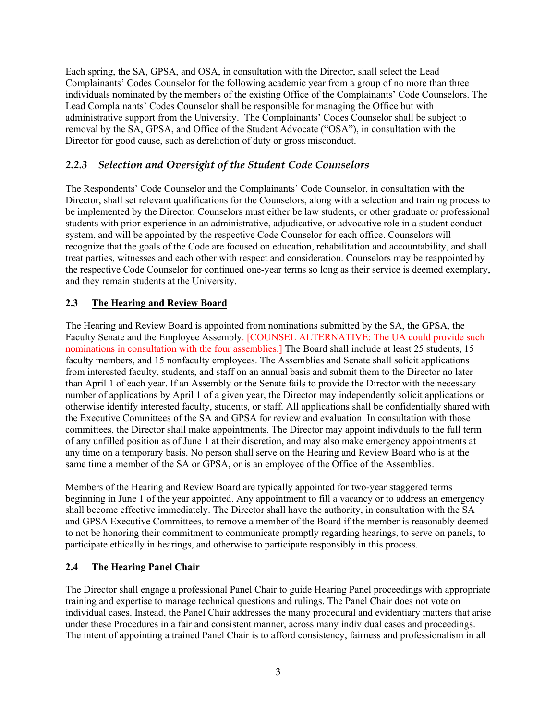Each spring, the SA, GPSA, and OSA, in consultation with the Director, shall select the Lead Complainants' Codes Counselor for the following academic year from a group of no more than three individuals nominated by the members of the existing Office of the Complainants' Code Counselors. The Lead Complainants' Codes Counselor shall be responsible for managing the Office but with administrative support from the University. The Complainants' Codes Counselor shall be subject to removal by the SA, GPSA, and Office of the Student Advocate ("OSA"), in consultation with the Director for good cause, such as dereliction of duty or gross misconduct.

# *2.2.3 Selection and Oversight of the Student Code Counselors*

The Respondents' Code Counselor and the Complainants' Code Counselor, in consultation with the Director, shall set relevant qualifications for the Counselors, along with a selection and training process to be implemented by the Director. Counselors must either be law students, or other graduate or professional students with prior experience in an administrative, adjudicative, or advocative role in a student conduct system, and will be appointed by the respective Code Counselor for each office. Counselors will recognize that the goals of the Code are focused on education, rehabilitation and accountability, and shall treat parties, witnesses and each other with respect and consideration. Counselors may be reappointed by the respective Code Counselor for continued one-year terms so long as their service is deemed exemplary, and they remain students at the University.

### **2.3 The Hearing and Review Board**

The Hearing and Review Board is appointed from nominations submitted by the SA, the GPSA, the Faculty Senate and the Employee Assembly. [COUNSEL ALTERNATIVE: The UA could provide such nominations in consultation with the four assemblies.] The Board shall include at least 25 students, 15 faculty members, and 15 nonfaculty employees. The Assemblies and Senate shall solicit applications from interested faculty, students, and staff on an annual basis and submit them to the Director no later than April 1 of each year. If an Assembly or the Senate fails to provide the Director with the necessary number of applications by April 1 of a given year, the Director may independently solicit applications or otherwise identify interested faculty, students, or staff. All applications shall be confidentially shared with the Executive Committees of the SA and GPSA for review and evaluation. In consultation with those committees, the Director shall make appointments. The Director may appoint indivduals to the full term of any unfilled position as of June 1 at their discretion, and may also make emergency appointments at any time on a temporary basis. No person shall serve on the Hearing and Review Board who is at the same time a member of the SA or GPSA, or is an employee of the Office of the Assemblies.

Members of the Hearing and Review Board are typically appointed for two-year staggered terms beginning in June 1 of the year appointed. Any appointment to fill a vacancy or to address an emergency shall become effective immediately. The Director shall have the authority, in consultation with the SA and GPSA Executive Committees, to remove a member of the Board if the member is reasonably deemed to not be honoring their commitment to communicate promptly regarding hearings, to serve on panels, to participate ethically in hearings, and otherwise to participate responsibly in this process.

### **2.4 The Hearing Panel Chair**

The Director shall engage a professional Panel Chair to guide Hearing Panel proceedings with appropriate training and expertise to manage technical questions and rulings. The Panel Chair does not vote on individual cases. Instead, the Panel Chair addresses the many procedural and evidentiary matters that arise under these Procedures in a fair and consistent manner, across many individual cases and proceedings. The intent of appointing a trained Panel Chair is to afford consistency, fairness and professionalism in all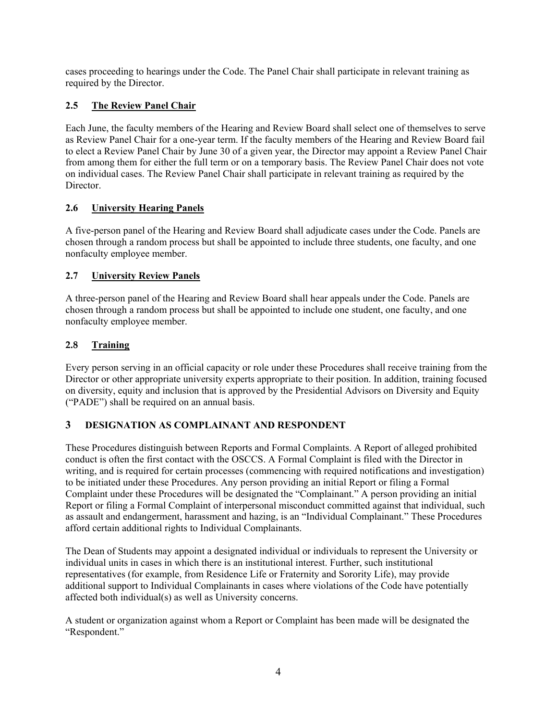cases proceeding to hearings under the Code. The Panel Chair shall participate in relevant training as required by the Director.

## **2.5 The Review Panel Chair**

Each June, the faculty members of the Hearing and Review Board shall select one of themselves to serve as Review Panel Chair for a one-year term. If the faculty members of the Hearing and Review Board fail to elect a Review Panel Chair by June 30 of a given year, the Director may appoint a Review Panel Chair from among them for either the full term or on a temporary basis. The Review Panel Chair does not vote on individual cases. The Review Panel Chair shall participate in relevant training as required by the Director.

## **2.6 University Hearing Panels**

A five-person panel of the Hearing and Review Board shall adjudicate cases under the Code. Panels are chosen through a random process but shall be appointed to include three students, one faculty, and one nonfaculty employee member.

### **2.7 University Review Panels**

A three-person panel of the Hearing and Review Board shall hear appeals under the Code. Panels are chosen through a random process but shall be appointed to include one student, one faculty, and one nonfaculty employee member.

### **2.8 Training**

Every person serving in an official capacity or role under these Procedures shall receive training from the Director or other appropriate university experts appropriate to their position. In addition, training focused on diversity, equity and inclusion that is approved by the Presidential Advisors on Diversity and Equity ("PADE") shall be required on an annual basis.

### **3 DESIGNATION AS COMPLAINANT AND RESPONDENT**

These Procedures distinguish between Reports and Formal Complaints. A Report of alleged prohibited conduct is often the first contact with the OSCCS. A Formal Complaint is filed with the Director in writing, and is required for certain processes (commencing with required notifications and investigation) to be initiated under these Procedures. Any person providing an initial Report or filing a Formal Complaint under these Procedures will be designated the "Complainant." A person providing an initial Report or filing a Formal Complaint of interpersonal misconduct committed against that individual, such as assault and endangerment, harassment and hazing, is an "Individual Complainant." These Procedures afford certain additional rights to Individual Complainants.

The Dean of Students may appoint a designated individual or individuals to represent the University or individual units in cases in which there is an institutional interest. Further, such institutional representatives (for example, from Residence Life or Fraternity and Sorority Life), may provide additional support to Individual Complainants in cases where violations of the Code have potentially affected both individual(s) as well as University concerns.

A student or organization against whom a Report or Complaint has been made will be designated the "Respondent."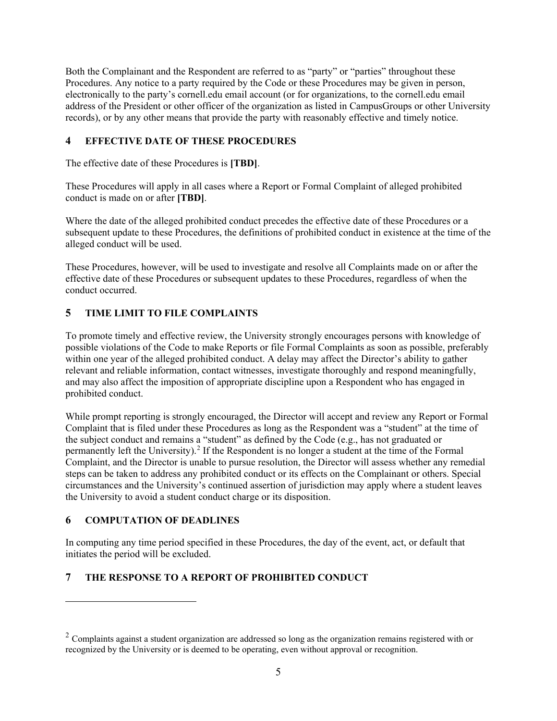Both the Complainant and the Respondent are referred to as "party" or "parties" throughout these Procedures. Any notice to a party required by the Code or these Procedures may be given in person, electronically to the party's cornell.edu email account (or for organizations, to the cornell.edu email address of the President or other officer of the organization as listed in CampusGroups or other University records), or by any other means that provide the party with reasonably effective and timely notice.

## **4 EFFECTIVE DATE OF THESE PROCEDURES**

The effective date of these Procedures is **[TBD]**.

These Procedures will apply in all cases where a Report or Formal Complaint of alleged prohibited conduct is made on or after **[TBD]**.

Where the date of the alleged prohibited conduct precedes the effective date of these Procedures or a subsequent update to these Procedures, the definitions of prohibited conduct in existence at the time of the alleged conduct will be used.

These Procedures, however, will be used to investigate and resolve all Complaints made on or after the effective date of these Procedures or subsequent updates to these Procedures, regardless of when the conduct occurred.

## **5 TIME LIMIT TO FILE COMPLAINTS**

To promote timely and effective review, the University strongly encourages persons with knowledge of possible violations of the Code to make Reports or file Formal Complaints as soon as possible, preferably within one year of the alleged prohibited conduct. A delay may affect the Director's ability to gather relevant and reliable information, contact witnesses, investigate thoroughly and respond meaningfully, and may also affect the imposition of appropriate discipline upon a Respondent who has engaged in prohibited conduct.

While prompt reporting is strongly encouraged, the Director will accept and review any Report or Formal Complaint that is filed under these Procedures as long as the Respondent was a "student" at the time of the subject conduct and remains a "student" as defined by the Code (e.g., has not graduated or permanently left the University).<sup>[2](#page-4-0)</sup> If the Respondent is no longer a student at the time of the Formal Complaint, and the Director is unable to pursue resolution, the Director will assess whether any remedial steps can be taken to address any prohibited conduct or its effects on the Complainant or others. Special circumstances and the University's continued assertion of jurisdiction may apply where a student leaves the University to avoid a student conduct charge or its disposition.

## **6 COMPUTATION OF DEADLINES**

 $\overline{a}$ 

In computing any time period specified in these Procedures, the day of the event, act, or default that initiates the period will be excluded.

## **7 THE RESPONSE TO A REPORT OF PROHIBITED CONDUCT**

<span id="page-4-0"></span> $2 \text{ Complaints}$  against a student organization are addressed so long as the organization remains registered with or recognized by the University or is deemed to be operating, even without approval or recognition.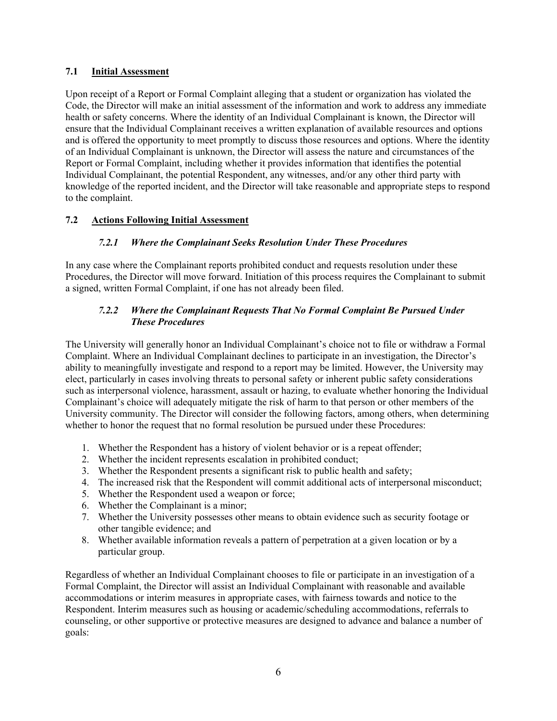### **7.1 Initial Assessment**

Upon receipt of a Report or Formal Complaint alleging that a student or organization has violated the Code, the Director will make an initial assessment of the information and work to address any immediate health or safety concerns. Where the identity of an Individual Complainant is known, the Director will ensure that the Individual Complainant receives a written explanation of available resources and options and is offered the opportunity to meet promptly to discuss those resources and options. Where the identity of an Individual Complainant is unknown, the Director will assess the nature and circumstances of the Report or Formal Complaint, including whether it provides information that identifies the potential Individual Complainant, the potential Respondent, any witnesses, and/or any other third party with knowledge of the reported incident, and the Director will take reasonable and appropriate steps to respond to the complaint.

### **7.2 Actions Following Initial Assessment**

### *7.2.1 Where the Complainant Seeks Resolution Under These Procedures*

In any case where the Complainant reports prohibited conduct and requests resolution under these Procedures, the Director will move forward. Initiation of this process requires the Complainant to submit a signed, written Formal Complaint, if one has not already been filed.

### *7.2.2 Where the Complainant Requests That No Formal Complaint Be Pursued Under These Procedures*

The University will generally honor an Individual Complainant's choice not to file or withdraw a Formal Complaint. Where an Individual Complainant declines to participate in an investigation, the Director's ability to meaningfully investigate and respond to a report may be limited. However, the University may elect, particularly in cases involving threats to personal safety or inherent public safety considerations such as interpersonal violence, harassment, assault or hazing, to evaluate whether honoring the Individual Complainant's choice will adequately mitigate the risk of harm to that person or other members of the University community. The Director will consider the following factors, among others, when determining whether to honor the request that no formal resolution be pursued under these Procedures:

- 1. Whether the Respondent has a history of violent behavior or is a repeat offender;
- 2. Whether the incident represents escalation in prohibited conduct;
- 3. Whether the Respondent presents a significant risk to public health and safety;
- 4. The increased risk that the Respondent will commit additional acts of interpersonal misconduct;
- 5. Whether the Respondent used a weapon or force;
- 6. Whether the Complainant is a minor;
- 7. Whether the University possesses other means to obtain evidence such as security footage or other tangible evidence; and
- 8. Whether available information reveals a pattern of perpetration at a given location or by a particular group.

Regardless of whether an Individual Complainant chooses to file or participate in an investigation of a Formal Complaint, the Director will assist an Individual Complainant with reasonable and available accommodations or interim measures in appropriate cases, with fairness towards and notice to the Respondent. Interim measures such as housing or academic/scheduling accommodations, referrals to counseling, or other supportive or protective measures are designed to advance and balance a number of goals: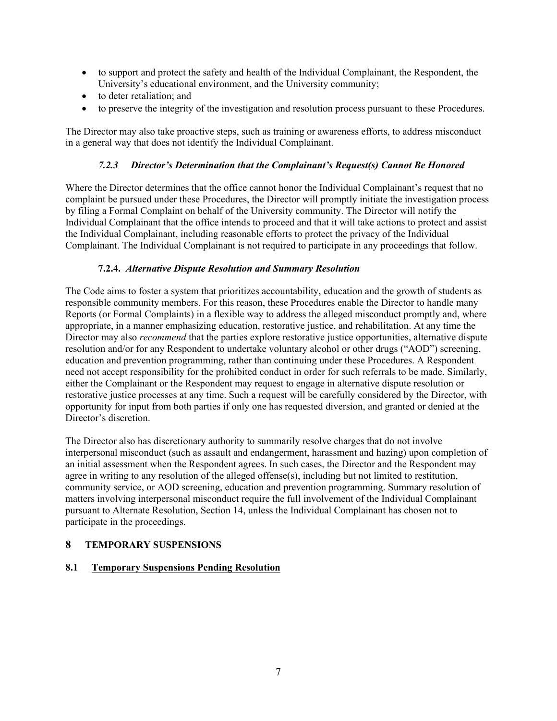- to support and protect the safety and health of the Individual Complainant, the Respondent, the University's educational environment, and the University community;
- to deter retaliation; and
- to preserve the integrity of the investigation and resolution process pursuant to these Procedures.

The Director may also take proactive steps, such as training or awareness efforts, to address misconduct in a general way that does not identify the Individual Complainant.

## *7.2.3 Director's Determination that the Complainant's Request(s) Cannot Be Honored*

Where the Director determines that the office cannot honor the Individual Complainant's request that no complaint be pursued under these Procedures, the Director will promptly initiate the investigation process by filing a Formal Complaint on behalf of the University community. The Director will notify the Individual Complainant that the office intends to proceed and that it will take actions to protect and assist the Individual Complainant, including reasonable efforts to protect the privacy of the Individual Complainant. The Individual Complainant is not required to participate in any proceedings that follow.

## **7.2.4.** *Alternative Dispute Resolution and Summary Resolution*

The Code aims to foster a system that prioritizes accountability, education and the growth of students as responsible community members. For this reason, these Procedures enable the Director to handle many Reports (or Formal Complaints) in a flexible way to address the alleged misconduct promptly and, where appropriate, in a manner emphasizing education, restorative justice, and rehabilitation. At any time the Director may also *recommend* that the parties explore restorative justice opportunities, alternative dispute resolution and/or for any Respondent to undertake voluntary alcohol or other drugs ("AOD") screening, education and prevention programming, rather than continuing under these Procedures. A Respondent need not accept responsibility for the prohibited conduct in order for such referrals to be made. Similarly, either the Complainant or the Respondent may request to engage in alternative dispute resolution or restorative justice processes at any time. Such a request will be carefully considered by the Director, with opportunity for input from both parties if only one has requested diversion, and granted or denied at the Director's discretion.

The Director also has discretionary authority to summarily resolve charges that do not involve interpersonal misconduct (such as assault and endangerment, harassment and hazing) upon completion of an initial assessment when the Respondent agrees. In such cases, the Director and the Respondent may agree in writing to any resolution of the alleged offense(s), including but not limited to restitution, community service, or AOD screening, education and prevention programming. Summary resolution of matters involving interpersonal misconduct require the full involvement of the Individual Complainant pursuant to Alternate Resolution, Section 14, unless the Individual Complainant has chosen not to participate in the proceedings.

### **8 TEMPORARY SUSPENSIONS**

### **8.1 Temporary Suspensions Pending Resolution**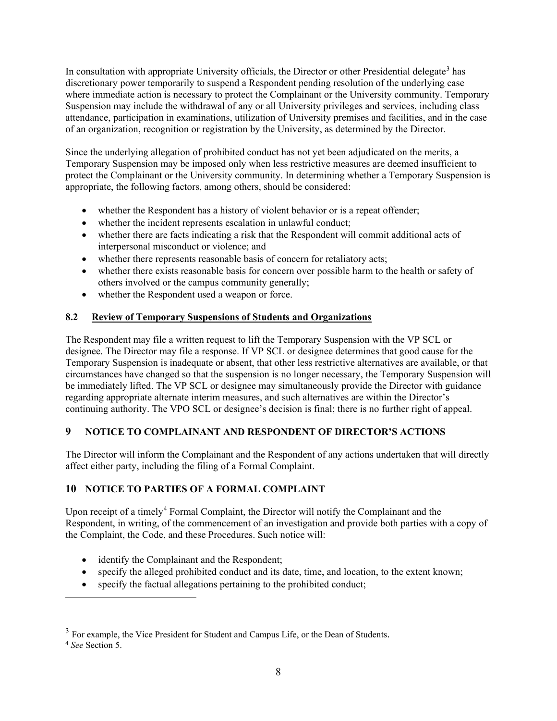In consultation with appropriate University officials, the Director or other Presidential delegate<sup>[3](#page-7-0)</sup> has discretionary power temporarily to suspend a Respondent pending resolution of the underlying case where immediate action is necessary to protect the Complainant or the University community. Temporary Suspension may include the withdrawal of any or all University privileges and services, including class attendance, participation in examinations, utilization of University premises and facilities, and in the case of an organization, recognition or registration by the University, as determined by the Director.

Since the underlying allegation of prohibited conduct has not yet been adjudicated on the merits, a Temporary Suspension may be imposed only when less restrictive measures are deemed insufficient to protect the Complainant or the University community. In determining whether a Temporary Suspension is appropriate, the following factors, among others, should be considered:

- whether the Respondent has a history of violent behavior or is a repeat offender;
- whether the incident represents escalation in unlawful conduct;
- whether there are facts indicating a risk that the Respondent will commit additional acts of interpersonal misconduct or violence; and
- whether there represents reasonable basis of concern for retaliatory acts;
- whether there exists reasonable basis for concern over possible harm to the health or safety of others involved or the campus community generally;
- whether the Respondent used a weapon or force.

### **8.2 Review of Temporary Suspensions of Students and Organizations**

The Respondent may file a written request to lift the Temporary Suspension with the VP SCL or designee. The Director may file a response. If VP SCL or designee determines that good cause for the Temporary Suspension is inadequate or absent, that other less restrictive alternatives are available, or that circumstances have changed so that the suspension is no longer necessary, the Temporary Suspension will be immediately lifted. The VP SCL or designee may simultaneously provide the Director with guidance regarding appropriate alternate interim measures, and such alternatives are within the Director's continuing authority. The VPO SCL or designee's decision is final; there is no further right of appeal.

## **9 NOTICE TO COMPLAINANT AND RESPONDENT OF DIRECTOR'S ACTIONS**

The Director will inform the Complainant and the Respondent of any actions undertaken that will directly affect either party, including the filing of a Formal Complaint.

## **10 NOTICE TO PARTIES OF A FORMAL COMPLAINT**

Upon receipt of a timely<sup>[4](#page-7-1)</sup> Formal Complaint, the Director will notify the Complainant and the Respondent, in writing, of the commencement of an investigation and provide both parties with a copy of the Complaint, the Code, and these Procedures. Such notice will:

- identify the Complainant and the Respondent;
- specify the alleged prohibited conduct and its date, time, and location, to the extent known;
- specify the factual allegations pertaining to the prohibited conduct;

 $\overline{a}$ 

<span id="page-7-1"></span><span id="page-7-0"></span><sup>3</sup> For example, the Vice President for Student and Campus Life, or the Dean of Students. 4 *See* Section 5.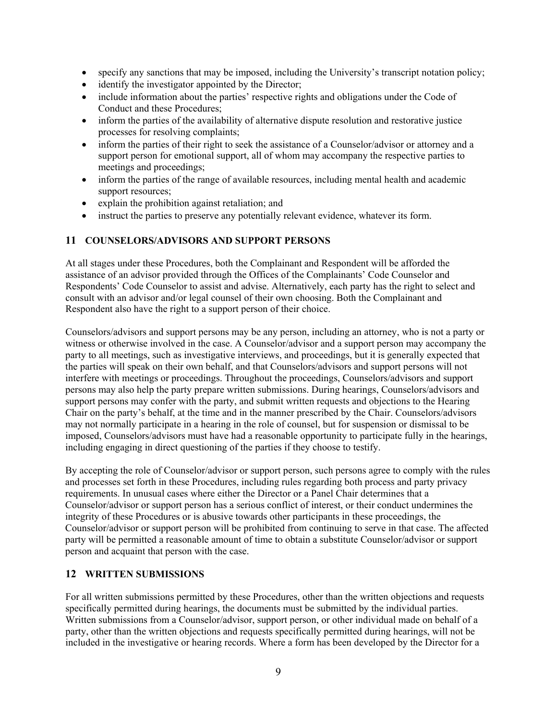- specify any sanctions that may be imposed, including the University's transcript notation policy;
- identify the investigator appointed by the Director;
- include information about the parties' respective rights and obligations under the Code of Conduct and these Procedures;
- inform the parties of the availability of alternative dispute resolution and restorative justice processes for resolving complaints;
- inform the parties of their right to seek the assistance of a Counselor/advisor or attorney and a support person for emotional support, all of whom may accompany the respective parties to meetings and proceedings;
- inform the parties of the range of available resources, including mental health and academic support resources;
- explain the prohibition against retaliation; and
- instruct the parties to preserve any potentially relevant evidence, whatever its form.

#### **11 COUNSELORS/ADVISORS AND SUPPORT PERSONS**

At all stages under these Procedures, both the Complainant and Respondent will be afforded the assistance of an advisor provided through the Offices of the Complainants' Code Counselor and Respondents' Code Counselor to assist and advise. Alternatively, each party has the right to select and consult with an advisor and/or legal counsel of their own choosing. Both the Complainant and Respondent also have the right to a support person of their choice.

Counselors/advisors and support persons may be any person, including an attorney, who is not a party or witness or otherwise involved in the case. A Counselor/advisor and a support person may accompany the party to all meetings, such as investigative interviews, and proceedings, but it is generally expected that the parties will speak on their own behalf, and that Counselors/advisors and support persons will not interfere with meetings or proceedings. Throughout the proceedings, Counselors/advisors and support persons may also help the party prepare written submissions. During hearings, Counselors/advisors and support persons may confer with the party, and submit written requests and objections to the Hearing Chair on the party's behalf, at the time and in the manner prescribed by the Chair. Counselors/advisors may not normally participate in a hearing in the role of counsel, but for suspension or dismissal to be imposed, Counselors/advisors must have had a reasonable opportunity to participate fully in the hearings, including engaging in direct questioning of the parties if they choose to testify.

By accepting the role of Counselor/advisor or support person, such persons agree to comply with the rules and processes set forth in these Procedures, including rules regarding both process and party privacy requirements. In unusual cases where either the Director or a Panel Chair determines that a Counselor/advisor or support person has a serious conflict of interest, or their conduct undermines the integrity of these Procedures or is abusive towards other participants in these proceedings, the Counselor/advisor or support person will be prohibited from continuing to serve in that case. The affected party will be permitted a reasonable amount of time to obtain a substitute Counselor/advisor or support person and acquaint that person with the case.

#### **12 WRITTEN SUBMISSIONS**

For all written submissions permitted by these Procedures, other than the written objections and requests specifically permitted during hearings, the documents must be submitted by the individual parties. Written submissions from a Counselor/advisor, support person, or other individual made on behalf of a party, other than the written objections and requests specifically permitted during hearings, will not be included in the investigative or hearing records. Where a form has been developed by the Director for a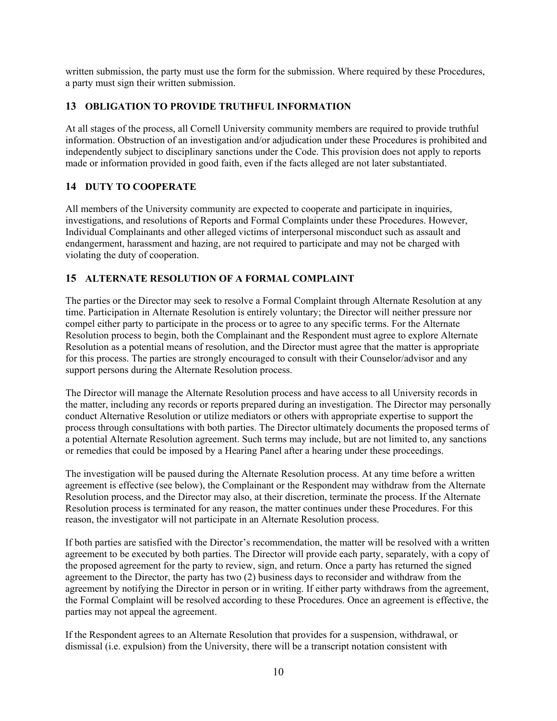written submission, the party must use the form for the submission. Where required by these Procedures, a party must sign their written submission.

### **13 OBLIGATION TO PROVIDE TRUTHFUL INFORMATION**

At all stages of the process, all Cornell University community members are required to provide truthful information. Obstruction of an investigation and/or adjudication under these Procedures is prohibited and independently subject to disciplinary sanctions under the Code. This provision does not apply to reports made or information provided in good faith, even if the facts alleged are not later substantiated.

## **14 DUTY TO COOPERATE**

All members of the University community are expected to cooperate and participate in inquiries, investigations, and resolutions of Reports and Formal Complaints under these Procedures. However, Individual Complainants and other alleged victims of interpersonal misconduct such as assault and endangerment, harassment and hazing, are not required to participate and may not be charged with violating the duty of cooperation.

## **15 ALTERNATE RESOLUTION OF A FORMAL COMPLAINT**

The parties or the Director may seek to resolve a Formal Complaint through Alternate Resolution at any time. Participation in Alternate Resolution is entirely voluntary; the Director will neither pressure nor compel either party to participate in the process or to agree to any specific terms. For the Alternate Resolution process to begin, both the Complainant and the Respondent must agree to explore Alternate Resolution as a potential means of resolution, and the Director must agree that the matter is appropriate for this process. The parties are strongly encouraged to consult with their Counselor/advisor and any support persons during the Alternate Resolution process.

The Director will manage the Alternate Resolution process and have access to all University records in the matter, including any records or reports prepared during an investigation. The Director may personally conduct Alternative Resolution or utilize mediators or others with appropriate expertise to support the process through consultations with both parties. The Director ultimately documents the proposed terms of a potential Alternate Resolution agreement. Such terms may include, but are not limited to, any sanctions or remedies that could be imposed by a Hearing Panel after a hearing under these proceedings.

The investigation will be paused during the Alternate Resolution process. At any time before a written agreement is effective (see below), the Complainant or the Respondent may withdraw from the Alternate Resolution process, and the Director may also, at their discretion, terminate the process. If the Alternate Resolution process is terminated for any reason, the matter continues under these Procedures. For this reason, the investigator will not participate in an Alternate Resolution process.

If both parties are satisfied with the Director's recommendation, the matter will be resolved with a written agreement to be executed by both parties. The Director will provide each party, separately, with a copy of the proposed agreement for the party to review, sign, and return. Once a party has returned the signed agreement to the Director, the party has two (2) business days to reconsider and withdraw from the agreement by notifying the Director in person or in writing. If either party withdraws from the agreement, the Formal Complaint will be resolved according to these Procedures. Once an agreement is effective, the parties may not appeal the agreement.

If the Respondent agrees to an Alternate Resolution that provides for a suspension, withdrawal, or dismissal (i.e. expulsion) from the University, there will be a transcript notation consistent with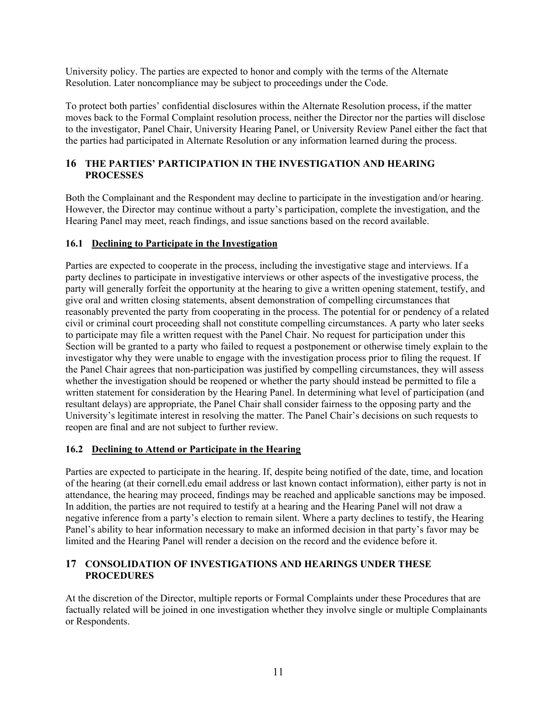University policy. The parties are expected to honor and comply with the terms of the Alternate Resolution. Later noncompliance may be subject to proceedings under the Code.

To protect both parties' confidential disclosures within the Alternate Resolution process, if the matter moves back to the Formal Complaint resolution process, neither the Director nor the parties will disclose to the investigator, Panel Chair, University Hearing Panel, or University Review Panel either the fact that the parties had participated in Alternate Resolution or any information learned during the process.

### **16 THE PARTIES' PARTICIPATION IN THE INVESTIGATION AND HEARING PROCESSES**

Both the Complainant and the Respondent may decline to participate in the investigation and/or hearing. However, the Director may continue without a party's participation, complete the investigation, and the Hearing Panel may meet, reach findings, and issue sanctions based on the record available.

### **16.1 Declining to Participate in the Investigation**

Parties are expected to cooperate in the process, including the investigative stage and interviews. If a party declines to participate in investigative interviews or other aspects of the investigative process, the party will generally forfeit the opportunity at the hearing to give a written opening statement, testify, and give oral and written closing statements, absent demonstration of compelling circumstances that reasonably prevented the party from cooperating in the process. The potential for or pendency of a related civil or criminal court proceeding shall not constitute compelling circumstances. A party who later seeks to participate may file a written request with the Panel Chair. No request for participation under this Section will be granted to a party who failed to request a postponement or otherwise timely explain to the investigator why they were unable to engage with the investigation process prior to filing the request. If the Panel Chair agrees that non-participation was justified by compelling circumstances, they will assess whether the investigation should be reopened or whether the party should instead be permitted to file a written statement for consideration by the Hearing Panel. In determining what level of participation (and resultant delays) are appropriate, the Panel Chair shall consider fairness to the opposing party and the University's legitimate interest in resolving the matter. The Panel Chair's decisions on such requests to reopen are final and are not subject to further review.

#### **16.2 Declining to Attend or Participate in the Hearing**

Parties are expected to participate in the hearing. If, despite being notified of the date, time, and location of the hearing (at their cornell.edu email address or last known contact information), either party is not in attendance, the hearing may proceed, findings may be reached and applicable sanctions may be imposed. In addition, the parties are not required to testify at a hearing and the Hearing Panel will not draw a negative inference from a party's election to remain silent. Where a party declines to testify, the Hearing Panel's ability to hear information necessary to make an informed decision in that party's favor may be limited and the Hearing Panel will render a decision on the record and the evidence before it.

### **17 CONSOLIDATION OF INVESTIGATIONS AND HEARINGS UNDER THESE PROCEDURES**

At the discretion of the Director, multiple reports or Formal Complaints under these Procedures that are factually related will be joined in one investigation whether they involve single or multiple Complainants or Respondents.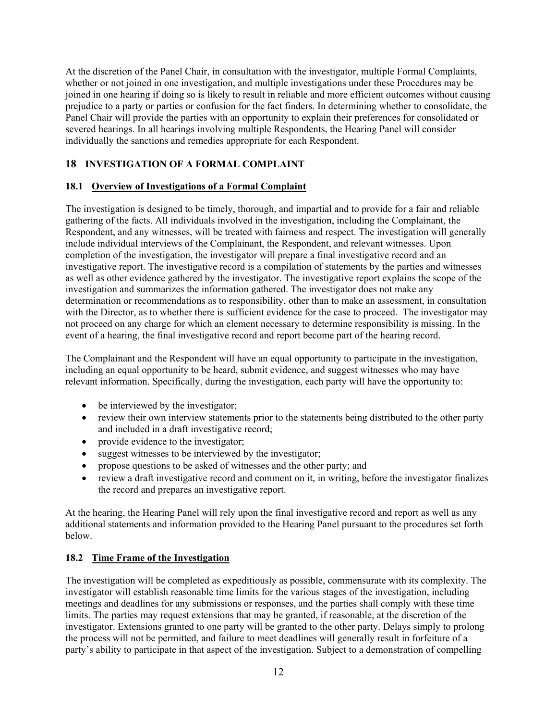At the discretion of the Panel Chair, in consultation with the investigator, multiple Formal Complaints, whether or not joined in one investigation, and multiple investigations under these Procedures may be joined in one hearing if doing so is likely to result in reliable and more efficient outcomes without causing prejudice to a party or parties or confusion for the fact finders. In determining whether to consolidate, the Panel Chair will provide the parties with an opportunity to explain their preferences for consolidated or severed hearings. In all hearings involving multiple Respondents, the Hearing Panel will consider individually the sanctions and remedies appropriate for each Respondent.

## **18 INVESTIGATION OF A FORMAL COMPLAINT**

### **18.1 Overview of Investigations of a Formal Complaint**

The investigation is designed to be timely, thorough, and impartial and to provide for a fair and reliable gathering of the facts. All individuals involved in the investigation, including the Complainant, the Respondent, and any witnesses, will be treated with fairness and respect. The investigation will generally include individual interviews of the Complainant, the Respondent, and relevant witnesses. Upon completion of the investigation, the investigator will prepare a final investigative record and an investigative report. The investigative record is a compilation of statements by the parties and witnesses as well as other evidence gathered by the investigator. The investigative report explains the scope of the investigation and summarizes the information gathered. The investigator does not make any determination or recommendations as to responsibility, other than to make an assessment, in consultation with the Director, as to whether there is sufficient evidence for the case to proceed. The investigator may not proceed on any charge for which an element necessary to determine responsibility is missing. In the event of a hearing, the final investigative record and report become part of the hearing record.

The Complainant and the Respondent will have an equal opportunity to participate in the investigation, including an equal opportunity to be heard, submit evidence, and suggest witnesses who may have relevant information. Specifically, during the investigation, each party will have the opportunity to:

- be interviewed by the investigator;
- review their own interview statements prior to the statements being distributed to the other party and included in a draft investigative record;
- provide evidence to the investigator;
- suggest witnesses to be interviewed by the investigator;
- propose questions to be asked of witnesses and the other party; and
- review a draft investigative record and comment on it, in writing, before the investigator finalizes the record and prepares an investigative report.

At the hearing, the Hearing Panel will rely upon the final investigative record and report as well as any additional statements and information provided to the Hearing Panel pursuant to the procedures set forth below.

### **18.2 Time Frame of the Investigation**

The investigation will be completed as expeditiously as possible, commensurate with its complexity. The investigator will establish reasonable time limits for the various stages of the investigation, including meetings and deadlines for any submissions or responses, and the parties shall comply with these time limits. The parties may request extensions that may be granted, if reasonable, at the discretion of the investigator. Extensions granted to one party will be granted to the other party. Delays simply to prolong the process will not be permitted, and failure to meet deadlines will generally result in forfeiture of a party's ability to participate in that aspect of the investigation. Subject to a demonstration of compelling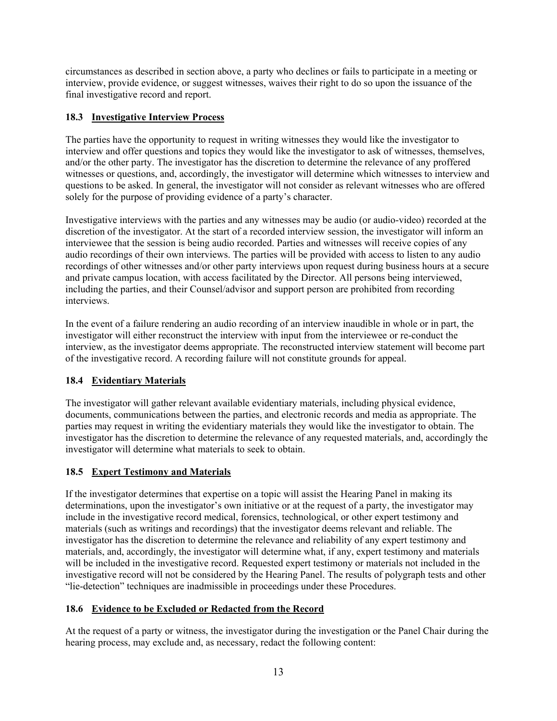circumstances as described in section above, a party who declines or fails to participate in a meeting or interview, provide evidence, or suggest witnesses, waives their right to do so upon the issuance of the final investigative record and report.

## **18.3 Investigative Interview Process**

The parties have the opportunity to request in writing witnesses they would like the investigator to interview and offer questions and topics they would like the investigator to ask of witnesses, themselves, and/or the other party. The investigator has the discretion to determine the relevance of any proffered witnesses or questions, and, accordingly, the investigator will determine which witnesses to interview and questions to be asked. In general, the investigator will not consider as relevant witnesses who are offered solely for the purpose of providing evidence of a party's character.

Investigative interviews with the parties and any witnesses may be audio (or audio-video) recorded at the discretion of the investigator. At the start of a recorded interview session, the investigator will inform an interviewee that the session is being audio recorded. Parties and witnesses will receive copies of any audio recordings of their own interviews. The parties will be provided with access to listen to any audio recordings of other witnesses and/or other party interviews upon request during business hours at a secure and private campus location, with access facilitated by the Director. All persons being interviewed, including the parties, and their Counsel/advisor and support person are prohibited from recording interviews.

In the event of a failure rendering an audio recording of an interview inaudible in whole or in part, the investigator will either reconstruct the interview with input from the interviewee or re-conduct the interview, as the investigator deems appropriate. The reconstructed interview statement will become part of the investigative record. A recording failure will not constitute grounds for appeal.

## **18.4 Evidentiary Materials**

The investigator will gather relevant available evidentiary materials, including physical evidence, documents, communications between the parties, and electronic records and media as appropriate. The parties may request in writing the evidentiary materials they would like the investigator to obtain. The investigator has the discretion to determine the relevance of any requested materials, and, accordingly the investigator will determine what materials to seek to obtain.

### **18.5 Expert Testimony and Materials**

If the investigator determines that expertise on a topic will assist the Hearing Panel in making its determinations, upon the investigator's own initiative or at the request of a party, the investigator may include in the investigative record medical, forensics, technological, or other expert testimony and materials (such as writings and recordings) that the investigator deems relevant and reliable. The investigator has the discretion to determine the relevance and reliability of any expert testimony and materials, and, accordingly, the investigator will determine what, if any, expert testimony and materials will be included in the investigative record. Requested expert testimony or materials not included in the investigative record will not be considered by the Hearing Panel. The results of polygraph tests and other "lie-detection" techniques are inadmissible in proceedings under these Procedures.

### **18.6 Evidence to be Excluded or Redacted from the Record**

At the request of a party or witness, the investigator during the investigation or the Panel Chair during the hearing process, may exclude and, as necessary, redact the following content: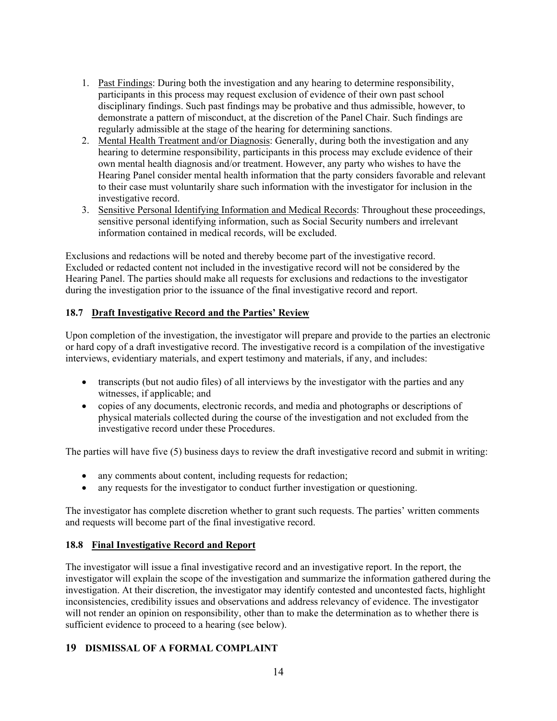- 1. Past Findings: During both the investigation and any hearing to determine responsibility, participants in this process may request exclusion of evidence of their own past school disciplinary findings. Such past findings may be probative and thus admissible, however, to demonstrate a pattern of misconduct, at the discretion of the Panel Chair. Such findings are regularly admissible at the stage of the hearing for determining sanctions.
- 2. Mental Health Treatment and/or Diagnosis: Generally, during both the investigation and any hearing to determine responsibility, participants in this process may exclude evidence of their own mental health diagnosis and/or treatment. However, any party who wishes to have the Hearing Panel consider mental health information that the party considers favorable and relevant to their case must voluntarily share such information with the investigator for inclusion in the investigative record.
- 3. Sensitive Personal Identifying Information and Medical Records: Throughout these proceedings, sensitive personal identifying information, such as Social Security numbers and irrelevant information contained in medical records, will be excluded.

Exclusions and redactions will be noted and thereby become part of the investigative record. Excluded or redacted content not included in the investigative record will not be considered by the Hearing Panel. The parties should make all requests for exclusions and redactions to the investigator during the investigation prior to the issuance of the final investigative record and report.

### **18.7 Draft Investigative Record and the Parties' Review**

Upon completion of the investigation, the investigator will prepare and provide to the parties an electronic or hard copy of a draft investigative record. The investigative record is a compilation of the investigative interviews, evidentiary materials, and expert testimony and materials, if any, and includes:

- transcripts (but not audio files) of all interviews by the investigator with the parties and any witnesses, if applicable; and
- copies of any documents, electronic records, and media and photographs or descriptions of physical materials collected during the course of the investigation and not excluded from the investigative record under these Procedures.

The parties will have five (5) business days to review the draft investigative record and submit in writing:

- any comments about content, including requests for redaction;
- any requests for the investigator to conduct further investigation or questioning.

The investigator has complete discretion whether to grant such requests. The parties' written comments and requests will become part of the final investigative record.

#### **18.8 Final Investigative Record and Report**

The investigator will issue a final investigative record and an investigative report. In the report, the investigator will explain the scope of the investigation and summarize the information gathered during the investigation. At their discretion, the investigator may identify contested and uncontested facts, highlight inconsistencies, credibility issues and observations and address relevancy of evidence. The investigator will not render an opinion on responsibility, other than to make the determination as to whether there is sufficient evidence to proceed to a hearing (see below).

#### **19 DISMISSAL OF A FORMAL COMPLAINT**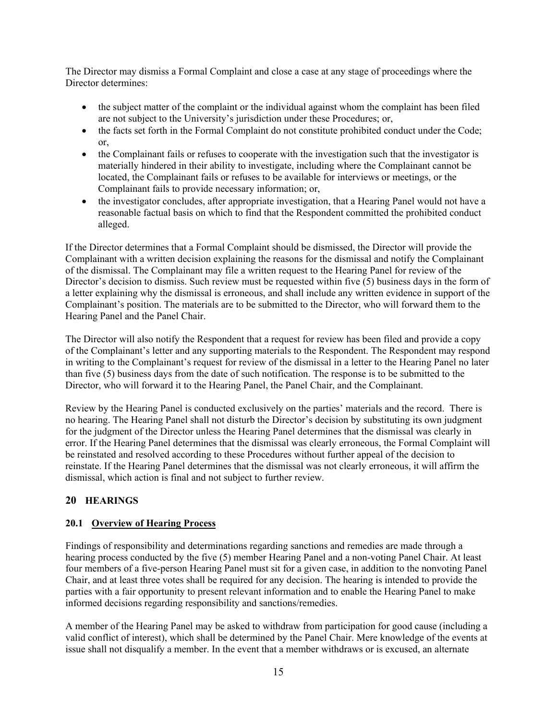The Director may dismiss a Formal Complaint and close a case at any stage of proceedings where the Director determines:

- the subject matter of the complaint or the individual against whom the complaint has been filed are not subject to the University's jurisdiction under these Procedures; or,
- the facts set forth in the Formal Complaint do not constitute prohibited conduct under the Code; or,
- the Complainant fails or refuses to cooperate with the investigation such that the investigator is materially hindered in their ability to investigate, including where the Complainant cannot be located, the Complainant fails or refuses to be available for interviews or meetings, or the Complainant fails to provide necessary information; or,
- the investigator concludes, after appropriate investigation, that a Hearing Panel would not have a reasonable factual basis on which to find that the Respondent committed the prohibited conduct alleged.

If the Director determines that a Formal Complaint should be dismissed, the Director will provide the Complainant with a written decision explaining the reasons for the dismissal and notify the Complainant of the dismissal. The Complainant may file a written request to the Hearing Panel for review of the Director's decision to dismiss. Such review must be requested within five (5) business days in the form of a letter explaining why the dismissal is erroneous, and shall include any written evidence in support of the Complainant's position. The materials are to be submitted to the Director, who will forward them to the Hearing Panel and the Panel Chair.

The Director will also notify the Respondent that a request for review has been filed and provide a copy of the Complainant's letter and any supporting materials to the Respondent. The Respondent may respond in writing to the Complainant's request for review of the dismissal in a letter to the Hearing Panel no later than five (5) business days from the date of such notification. The response is to be submitted to the Director, who will forward it to the Hearing Panel, the Panel Chair, and the Complainant.

Review by the Hearing Panel is conducted exclusively on the parties' materials and the record. There is no hearing. The Hearing Panel shall not disturb the Director's decision by substituting its own judgment for the judgment of the Director unless the Hearing Panel determines that the dismissal was clearly in error. If the Hearing Panel determines that the dismissal was clearly erroneous, the Formal Complaint will be reinstated and resolved according to these Procedures without further appeal of the decision to reinstate. If the Hearing Panel determines that the dismissal was not clearly erroneous, it will affirm the dismissal, which action is final and not subject to further review.

## **20 HEARINGS**

### **20.1 Overview of Hearing Process**

Findings of responsibility and determinations regarding sanctions and remedies are made through a hearing process conducted by the five (5) member Hearing Panel and a non-voting Panel Chair. At least four members of a five-person Hearing Panel must sit for a given case, in addition to the nonvoting Panel Chair, and at least three votes shall be required for any decision. The hearing is intended to provide the parties with a fair opportunity to present relevant information and to enable the Hearing Panel to make informed decisions regarding responsibility and sanctions/remedies.

A member of the Hearing Panel may be asked to withdraw from participation for good cause (including a valid conflict of interest), which shall be determined by the Panel Chair. Mere knowledge of the events at issue shall not disqualify a member. In the event that a member withdraws or is excused, an alternate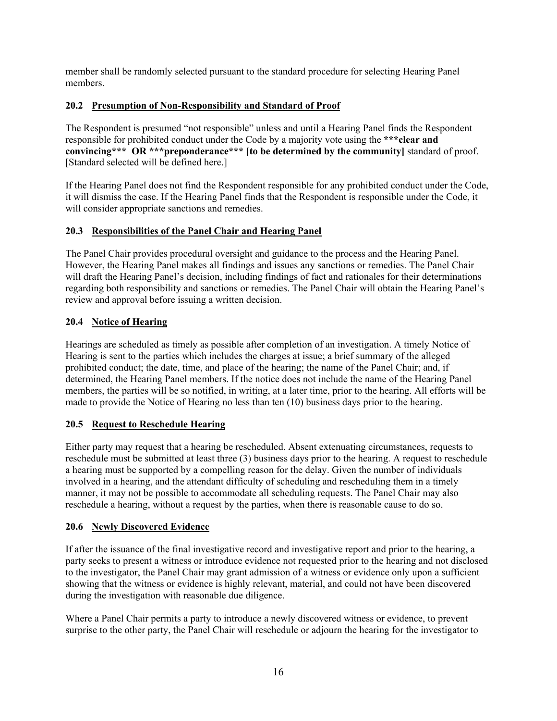member shall be randomly selected pursuant to the standard procedure for selecting Hearing Panel members.

## **20.2 Presumption of Non-Responsibility and Standard of Proof**

The Respondent is presumed "not responsible" unless and until a Hearing Panel finds the Respondent responsible for prohibited conduct under the Code by a majority vote using the **\*\*\*clear and convincing\*\*\* OR \*\*\*preponderance\*\*\* [to be determined by the community]** standard of proof. [Standard selected will be defined here.]

If the Hearing Panel does not find the Respondent responsible for any prohibited conduct under the Code, it will dismiss the case. If the Hearing Panel finds that the Respondent is responsible under the Code, it will consider appropriate sanctions and remedies.

## **20.3 Responsibilities of the Panel Chair and Hearing Panel**

The Panel Chair provides procedural oversight and guidance to the process and the Hearing Panel. However, the Hearing Panel makes all findings and issues any sanctions or remedies. The Panel Chair will draft the Hearing Panel's decision, including findings of fact and rationales for their determinations regarding both responsibility and sanctions or remedies. The Panel Chair will obtain the Hearing Panel's review and approval before issuing a written decision.

## **20.4 Notice of Hearing**

Hearings are scheduled as timely as possible after completion of an investigation. A timely Notice of Hearing is sent to the parties which includes the charges at issue; a brief summary of the alleged prohibited conduct; the date, time, and place of the hearing; the name of the Panel Chair; and, if determined, the Hearing Panel members. If the notice does not include the name of the Hearing Panel members, the parties will be so notified, in writing, at a later time, prior to the hearing. All efforts will be made to provide the Notice of Hearing no less than ten (10) business days prior to the hearing.

### **20.5 Request to Reschedule Hearing**

Either party may request that a hearing be rescheduled. Absent extenuating circumstances, requests to reschedule must be submitted at least three (3) business days prior to the hearing. A request to reschedule a hearing must be supported by a compelling reason for the delay. Given the number of individuals involved in a hearing, and the attendant difficulty of scheduling and rescheduling them in a timely manner, it may not be possible to accommodate all scheduling requests. The Panel Chair may also reschedule a hearing, without a request by the parties, when there is reasonable cause to do so.

### **20.6 Newly Discovered Evidence**

If after the issuance of the final investigative record and investigative report and prior to the hearing, a party seeks to present a witness or introduce evidence not requested prior to the hearing and not disclosed to the investigator, the Panel Chair may grant admission of a witness or evidence only upon a sufficient showing that the witness or evidence is highly relevant, material, and could not have been discovered during the investigation with reasonable due diligence.

Where a Panel Chair permits a party to introduce a newly discovered witness or evidence, to prevent surprise to the other party, the Panel Chair will reschedule or adjourn the hearing for the investigator to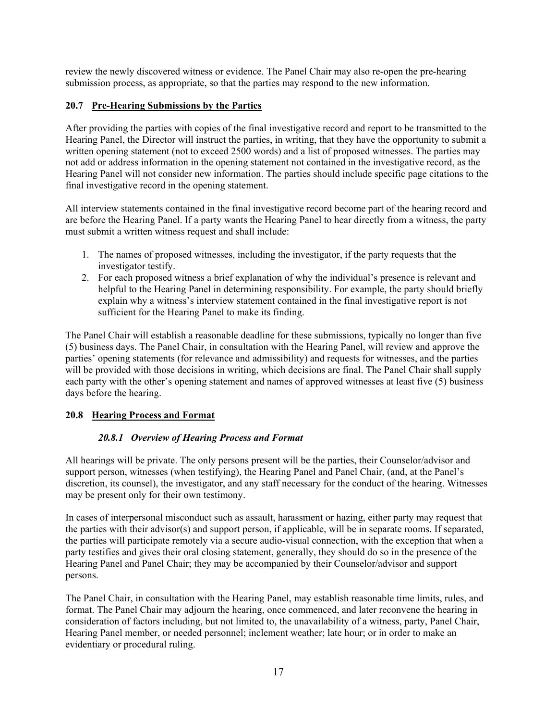review the newly discovered witness or evidence. The Panel Chair may also re-open the pre-hearing submission process, as appropriate, so that the parties may respond to the new information.

### **20.7 Pre-Hearing Submissions by the Parties**

After providing the parties with copies of the final investigative record and report to be transmitted to the Hearing Panel, the Director will instruct the parties, in writing, that they have the opportunity to submit a written opening statement (not to exceed 2500 words) and a list of proposed witnesses. The parties may not add or address information in the opening statement not contained in the investigative record, as the Hearing Panel will not consider new information. The parties should include specific page citations to the final investigative record in the opening statement.

All interview statements contained in the final investigative record become part of the hearing record and are before the Hearing Panel. If a party wants the Hearing Panel to hear directly from a witness, the party must submit a written witness request and shall include:

- 1. The names of proposed witnesses, including the investigator, if the party requests that the investigator testify.
- 2. For each proposed witness a brief explanation of why the individual's presence is relevant and helpful to the Hearing Panel in determining responsibility. For example, the party should briefly explain why a witness's interview statement contained in the final investigative report is not sufficient for the Hearing Panel to make its finding.

The Panel Chair will establish a reasonable deadline for these submissions, typically no longer than five (5) business days. The Panel Chair, in consultation with the Hearing Panel, will review and approve the parties' opening statements (for relevance and admissibility) and requests for witnesses, and the parties will be provided with those decisions in writing, which decisions are final. The Panel Chair shall supply each party with the other's opening statement and names of approved witnesses at least five (5) business days before the hearing.

### **20.8 Hearing Process and Format**

### *20.8.1 Overview of Hearing Process and Format*

All hearings will be private. The only persons present will be the parties, their Counselor/advisor and support person, witnesses (when testifying), the Hearing Panel and Panel Chair, (and, at the Panel's discretion, its counsel), the investigator, and any staff necessary for the conduct of the hearing. Witnesses may be present only for their own testimony.

In cases of interpersonal misconduct such as assault, harassment or hazing, either party may request that the parties with their advisor(s) and support person, if applicable, will be in separate rooms. If separated, the parties will participate remotely via a secure audio-visual connection, with the exception that when a party testifies and gives their oral closing statement, generally, they should do so in the presence of the Hearing Panel and Panel Chair; they may be accompanied by their Counselor/advisor and support persons.

The Panel Chair, in consultation with the Hearing Panel, may establish reasonable time limits, rules, and format. The Panel Chair may adjourn the hearing, once commenced, and later reconvene the hearing in consideration of factors including, but not limited to, the unavailability of a witness, party, Panel Chair, Hearing Panel member, or needed personnel; inclement weather; late hour; or in order to make an evidentiary or procedural ruling.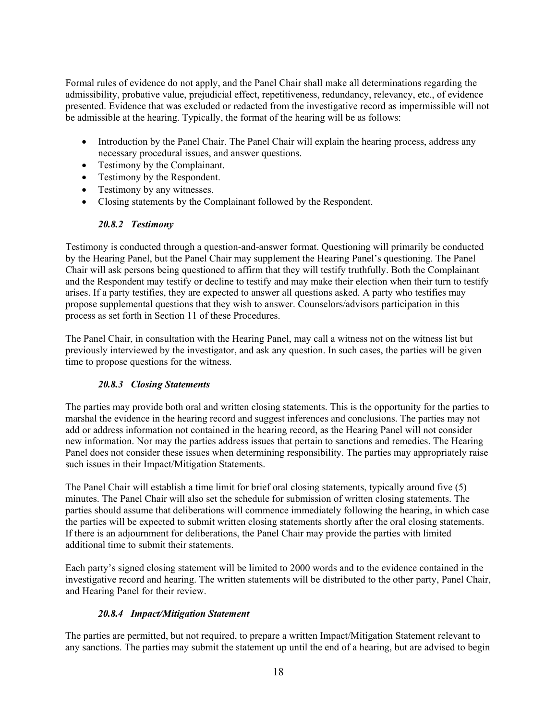Formal rules of evidence do not apply, and the Panel Chair shall make all determinations regarding the admissibility, probative value, prejudicial effect, repetitiveness, redundancy, relevancy, etc., of evidence presented. Evidence that was excluded or redacted from the investigative record as impermissible will not be admissible at the hearing. Typically, the format of the hearing will be as follows:

- Introduction by the Panel Chair. The Panel Chair will explain the hearing process, address any necessary procedural issues, and answer questions.
- Testimony by the Complainant.
- Testimony by the Respondent.
- Testimony by any witnesses.
- Closing statements by the Complainant followed by the Respondent.

### *20.8.2 Testimony*

Testimony is conducted through a question-and-answer format. Questioning will primarily be conducted by the Hearing Panel, but the Panel Chair may supplement the Hearing Panel's questioning. The Panel Chair will ask persons being questioned to affirm that they will testify truthfully. Both the Complainant and the Respondent may testify or decline to testify and may make their election when their turn to testify arises. If a party testifies, they are expected to answer all questions asked. A party who testifies may propose supplemental questions that they wish to answer. Counselors/advisors participation in this process as set forth in Section 11 of these Procedures.

The Panel Chair, in consultation with the Hearing Panel, may call a witness not on the witness list but previously interviewed by the investigator, and ask any question. In such cases, the parties will be given time to propose questions for the witness.

### *20.8.3 Closing Statements*

The parties may provide both oral and written closing statements. This is the opportunity for the parties to marshal the evidence in the hearing record and suggest inferences and conclusions. The parties may not add or address information not contained in the hearing record, as the Hearing Panel will not consider new information. Nor may the parties address issues that pertain to sanctions and remedies. The Hearing Panel does not consider these issues when determining responsibility. The parties may appropriately raise such issues in their Impact/Mitigation Statements.

The Panel Chair will establish a time limit for brief oral closing statements, typically around five (5) minutes. The Panel Chair will also set the schedule for submission of written closing statements. The parties should assume that deliberations will commence immediately following the hearing, in which case the parties will be expected to submit written closing statements shortly after the oral closing statements. If there is an adjournment for deliberations, the Panel Chair may provide the parties with limited additional time to submit their statements.

Each party's signed closing statement will be limited to 2000 words and to the evidence contained in the investigative record and hearing. The written statements will be distributed to the other party, Panel Chair, and Hearing Panel for their review.

### *20.8.4 Impact/Mitigation Statement*

The parties are permitted, but not required, to prepare a written Impact/Mitigation Statement relevant to any sanctions. The parties may submit the statement up until the end of a hearing, but are advised to begin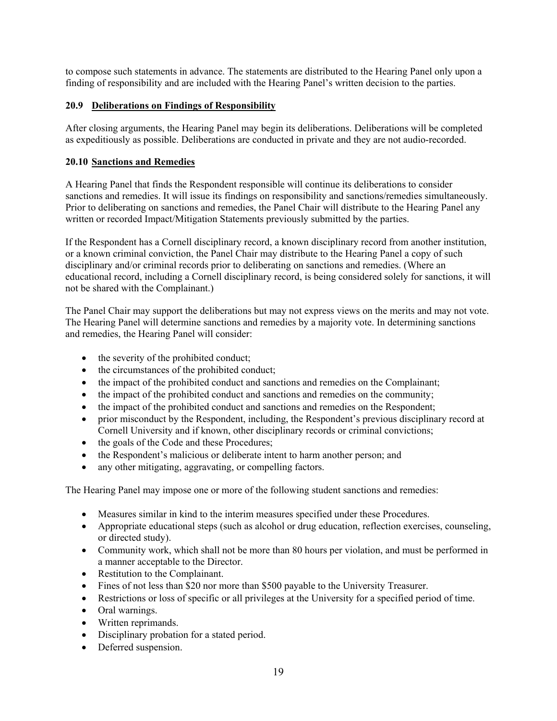to compose such statements in advance. The statements are distributed to the Hearing Panel only upon a finding of responsibility and are included with the Hearing Panel's written decision to the parties.

### **20.9 Deliberations on Findings of Responsibility**

After closing arguments, the Hearing Panel may begin its deliberations. Deliberations will be completed as expeditiously as possible. Deliberations are conducted in private and they are not audio-recorded.

#### **20.10 Sanctions and Remedies**

A Hearing Panel that finds the Respondent responsible will continue its deliberations to consider sanctions and remedies. It will issue its findings on responsibility and sanctions/remedies simultaneously. Prior to deliberating on sanctions and remedies, the Panel Chair will distribute to the Hearing Panel any written or recorded Impact/Mitigation Statements previously submitted by the parties.

If the Respondent has a Cornell disciplinary record, a known disciplinary record from another institution, or a known criminal conviction, the Panel Chair may distribute to the Hearing Panel a copy of such disciplinary and/or criminal records prior to deliberating on sanctions and remedies. (Where an educational record, including a Cornell disciplinary record, is being considered solely for sanctions, it will not be shared with the Complainant.)

The Panel Chair may support the deliberations but may not express views on the merits and may not vote. The Hearing Panel will determine sanctions and remedies by a majority vote. In determining sanctions and remedies, the Hearing Panel will consider:

- the severity of the prohibited conduct;
- the circumstances of the prohibited conduct;
- the impact of the prohibited conduct and sanctions and remedies on the Complainant;
- the impact of the prohibited conduct and sanctions and remedies on the community;
- the impact of the prohibited conduct and sanctions and remedies on the Respondent;
- prior misconduct by the Respondent, including, the Respondent's previous disciplinary record at Cornell University and if known, other disciplinary records or criminal convictions;
- the goals of the Code and these Procedures;
- the Respondent's malicious or deliberate intent to harm another person; and
- any other mitigating, aggravating, or compelling factors.

The Hearing Panel may impose one or more of the following student sanctions and remedies:

- Measures similar in kind to the interim measures specified under these Procedures.
- Appropriate educational steps (such as alcohol or drug education, reflection exercises, counseling, or directed study).
- Community work, which shall not be more than 80 hours per violation, and must be performed in a manner acceptable to the Director.
- Restitution to the Complainant.
- Fines of not less than \$20 nor more than \$500 payable to the University Treasurer.
- Restrictions or loss of specific or all privileges at the University for a specified period of time.
- Oral warnings.
- Written reprimands.
- Disciplinary probation for a stated period.
- Deferred suspension.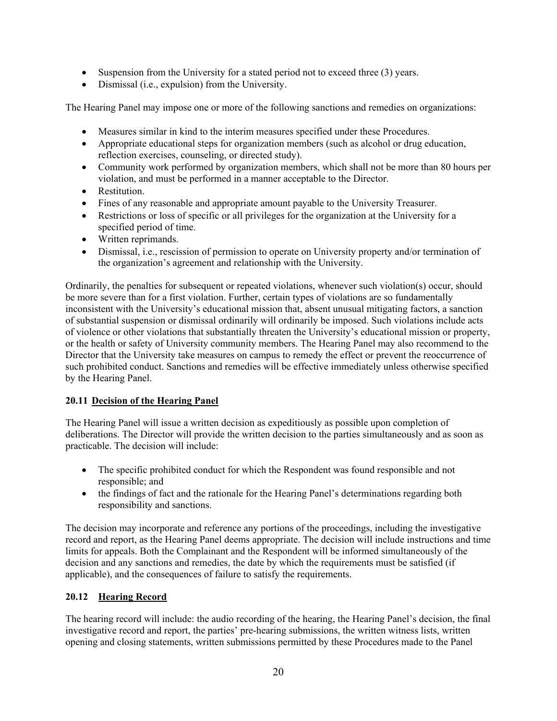- Suspension from the University for a stated period not to exceed three (3) years.
- Dismissal (i.e., expulsion) from the University.

The Hearing Panel may impose one or more of the following sanctions and remedies on organizations:

- Measures similar in kind to the interim measures specified under these Procedures.
- Appropriate educational steps for organization members (such as alcohol or drug education, reflection exercises, counseling, or directed study).
- Community work performed by organization members, which shall not be more than 80 hours per violation, and must be performed in a manner acceptable to the Director.
- Restitution.
- Fines of any reasonable and appropriate amount payable to the University Treasurer.
- Restrictions or loss of specific or all privileges for the organization at the University for a specified period of time.
- Written reprimands.
- Dismissal, i.e., rescission of permission to operate on University property and/or termination of the organization's agreement and relationship with the University.

Ordinarily, the penalties for subsequent or repeated violations, whenever such violation(s) occur, should be more severe than for a first violation. Further, certain types of violations are so fundamentally inconsistent with the University's educational mission that, absent unusual mitigating factors, a sanction of substantial suspension or dismissal ordinarily will ordinarily be imposed. Such violations include acts of violence or other violations that substantially threaten the University's educational mission or property, or the health or safety of University community members. The Hearing Panel may also recommend to the Director that the University take measures on campus to remedy the effect or prevent the reoccurrence of such prohibited conduct. Sanctions and remedies will be effective immediately unless otherwise specified by the Hearing Panel.

#### **20.11 Decision of the Hearing Panel**

The Hearing Panel will issue a written decision as expeditiously as possible upon completion of deliberations. The Director will provide the written decision to the parties simultaneously and as soon as practicable. The decision will include:

- The specific prohibited conduct for which the Respondent was found responsible and not responsible; and
- the findings of fact and the rationale for the Hearing Panel's determinations regarding both responsibility and sanctions.

The decision may incorporate and reference any portions of the proceedings, including the investigative record and report, as the Hearing Panel deems appropriate. The decision will include instructions and time limits for appeals. Both the Complainant and the Respondent will be informed simultaneously of the decision and any sanctions and remedies, the date by which the requirements must be satisfied (if applicable), and the consequences of failure to satisfy the requirements.

#### **20.12 Hearing Record**

The hearing record will include: the audio recording of the hearing, the Hearing Panel's decision, the final investigative record and report, the parties' pre-hearing submissions, the written witness lists, written opening and closing statements, written submissions permitted by these Procedures made to the Panel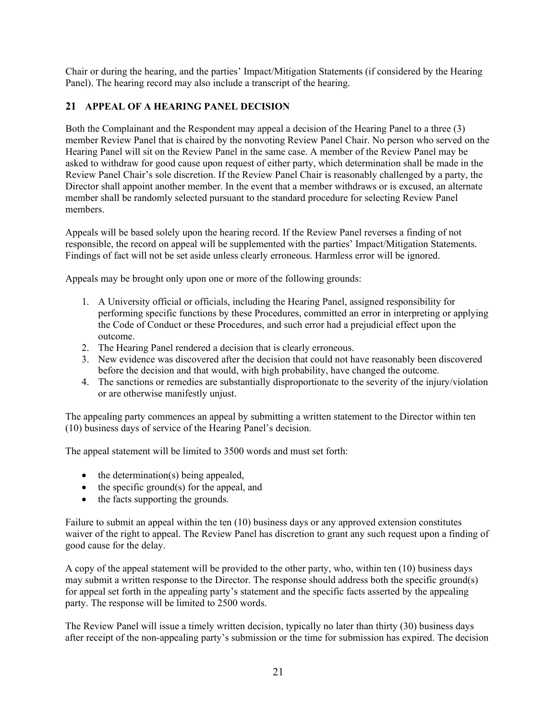Chair or during the hearing, and the parties' Impact/Mitigation Statements (if considered by the Hearing Panel). The hearing record may also include a transcript of the hearing.

### **21 APPEAL OF A HEARING PANEL DECISION**

Both the Complainant and the Respondent may appeal a decision of the Hearing Panel to a three (3) member Review Panel that is chaired by the nonvoting Review Panel Chair. No person who served on the Hearing Panel will sit on the Review Panel in the same case. A member of the Review Panel may be asked to withdraw for good cause upon request of either party, which determination shall be made in the Review Panel Chair's sole discretion. If the Review Panel Chair is reasonably challenged by a party, the Director shall appoint another member. In the event that a member withdraws or is excused, an alternate member shall be randomly selected pursuant to the standard procedure for selecting Review Panel members.

Appeals will be based solely upon the hearing record. If the Review Panel reverses a finding of not responsible, the record on appeal will be supplemented with the parties' Impact/Mitigation Statements. Findings of fact will not be set aside unless clearly erroneous. Harmless error will be ignored.

Appeals may be brought only upon one or more of the following grounds:

- 1. A University official or officials, including the Hearing Panel, assigned responsibility for performing specific functions by these Procedures, committed an error in interpreting or applying the Code of Conduct or these Procedures, and such error had a prejudicial effect upon the outcome.
- 2. The Hearing Panel rendered a decision that is clearly erroneous.
- 3. New evidence was discovered after the decision that could not have reasonably been discovered before the decision and that would, with high probability, have changed the outcome.
- 4. The sanctions or remedies are substantially disproportionate to the severity of the injury/violation or are otherwise manifestly unjust.

The appealing party commences an appeal by submitting a written statement to the Director within ten (10) business days of service of the Hearing Panel's decision.

The appeal statement will be limited to 3500 words and must set forth:

- the determination(s) being appealed,
- the specific ground(s) for the appeal, and
- the facts supporting the grounds.

Failure to submit an appeal within the ten (10) business days or any approved extension constitutes waiver of the right to appeal. The Review Panel has discretion to grant any such request upon a finding of good cause for the delay.

A copy of the appeal statement will be provided to the other party, who, within ten (10) business days may submit a written response to the Director. The response should address both the specific ground(s) for appeal set forth in the appealing party's statement and the specific facts asserted by the appealing party. The response will be limited to 2500 words.

The Review Panel will issue a timely written decision, typically no later than thirty (30) business days after receipt of the non-appealing party's submission or the time for submission has expired. The decision